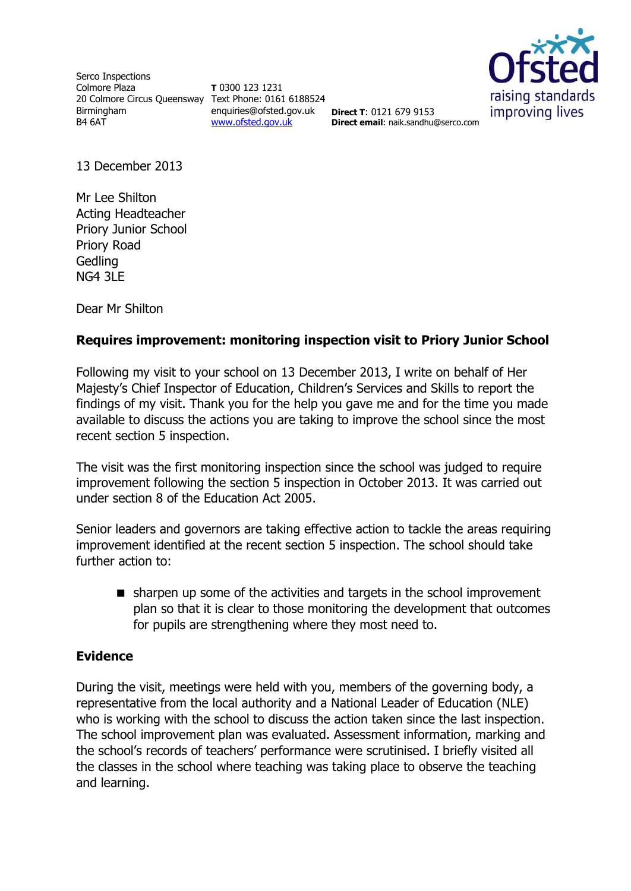Serco Inspections Colmore Plaza 20 Colmore Circus Queensway Text Phone: 0161 6188524 Birmingham B4 6AT

**T** 0300 123 1231 enquiries@ofsted.gov.uk [www.ofsted.gov.uk](http://www.ofsted.gov.uk/)



**Direct T**: 0121 679 9153 **Direct email**: naik.sandhu@serco.com

13 December 2013

Mr Lee Shilton Acting Headteacher Priory Junior School Priory Road **Gedling** NG4 3LE

Dear Mr Shilton

# **Requires improvement: monitoring inspection visit to Priory Junior School**

Following my visit to your school on 13 December 2013, I write on behalf of Her Majesty's Chief Inspector of Education, Children's Services and Skills to report the findings of my visit. Thank you for the help you gave me and for the time you made available to discuss the actions you are taking to improve the school since the most recent section 5 inspection.

The visit was the first monitoring inspection since the school was judged to require improvement following the section 5 inspection in October 2013. It was carried out under section 8 of the Education Act 2005.

Senior leaders and governors are taking effective action to tackle the areas requiring improvement identified at the recent section 5 inspection. The school should take further action to:

 sharpen up some of the activities and targets in the school improvement plan so that it is clear to those monitoring the development that outcomes for pupils are strengthening where they most need to.

## **Evidence**

During the visit, meetings were held with you, members of the governing body, a representative from the local authority and a National Leader of Education (NLE) who is working with the school to discuss the action taken since the last inspection. The school improvement plan was evaluated. Assessment information, marking and the school's records of teachers' performance were scrutinised. I briefly visited all the classes in the school where teaching was taking place to observe the teaching and learning.